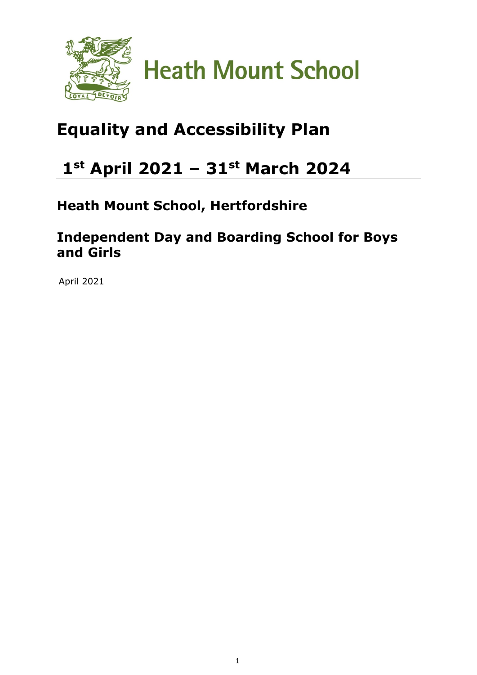

### **Equality and Accessibility Plan**

### **1st April 2021 – 31st March 2024**

### **Heath Mount School, Hertfordshire**

### **Independent Day and Boarding School for Boys and Girls**

April 2021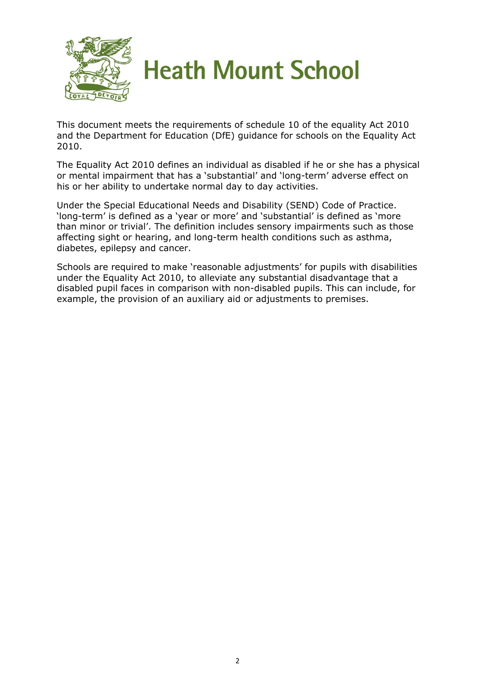

This document meets the requirements of schedule 10 of the equality Act 2010 and the Department for Education (DfE) guidance for schools on the Equality Act 2010.

The Equality Act 2010 defines an individual as disabled if he or she has a physical or mental impairment that has a 'substantial' and 'long-term' adverse effect on his or her ability to undertake normal day to day activities.

Under the Special Educational Needs and Disability (SEND) Code of Practice. 'long-term' is defined as a 'year or more' and 'substantial' is defined as 'more than minor or trivial'. The definition includes sensory impairments such as those affecting sight or hearing, and long-term health conditions such as asthma, diabetes, epilepsy and cancer.

Schools are required to make 'reasonable adjustments' for pupils with disabilities under the Equality Act 2010, to alleviate any substantial disadvantage that a disabled pupil faces in comparison with non-disabled pupils. This can include, for example, the provision of an auxiliary aid or adjustments to premises.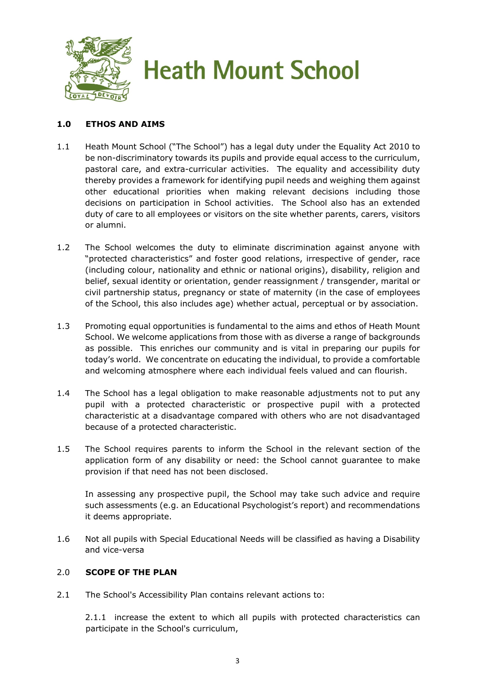

#### **1.0 ETHOS AND AIMS**

- 1.1 Heath Mount School ("The School") has a legal duty under the Equality Act 2010 to be non-discriminatory towards its pupils and provide equal access to the curriculum, pastoral care, and extra-curricular activities. The equality and accessibility duty thereby provides a framework for identifying pupil needs and weighing them against other educational priorities when making relevant decisions including those decisions on participation in School activities. The School also has an extended duty of care to all employees or visitors on the site whether parents, carers, visitors or alumni.
- 1.2 The School welcomes the duty to eliminate discrimination against anyone with "protected characteristics" and foster good relations, irrespective of gender, race (including colour, nationality and ethnic or national origins), disability, religion and belief, sexual identity or orientation, gender reassignment / transgender, marital or civil partnership status, pregnancy or state of maternity (in the case of employees of the School, this also includes age) whether actual, perceptual or by association.
- 1.3 Promoting equal opportunities is fundamental to the aims and ethos of Heath Mount School. We welcome applications from those with as diverse a range of backgrounds as possible. This enriches our community and is vital in preparing our pupils for today's world. We concentrate on educating the individual, to provide a comfortable and welcoming atmosphere where each individual feels valued and can flourish.
- 1.4 The School has a legal obligation to make reasonable adjustments not to put any pupil with a protected characteristic or prospective pupil with a protected characteristic at a disadvantage compared with others who are not disadvantaged because of a protected characteristic.
- 1.5 The School requires parents to inform the School in the relevant section of the application form of any disability or need: the School cannot guarantee to make provision if that need has not been disclosed.

In assessing any prospective pupil, the School may take such advice and require such assessments (e.g. an Educational Psychologist's report) and recommendations it deems appropriate.

1.6 Not all pupils with Special Educational Needs will be classified as having a Disability and vice-versa

#### 2.0 **SCOPE OF THE PLAN**

2.1 The School's Accessibility Plan contains relevant actions to:

2.1.1 increase the extent to which all pupils with protected characteristics can participate in the School's curriculum,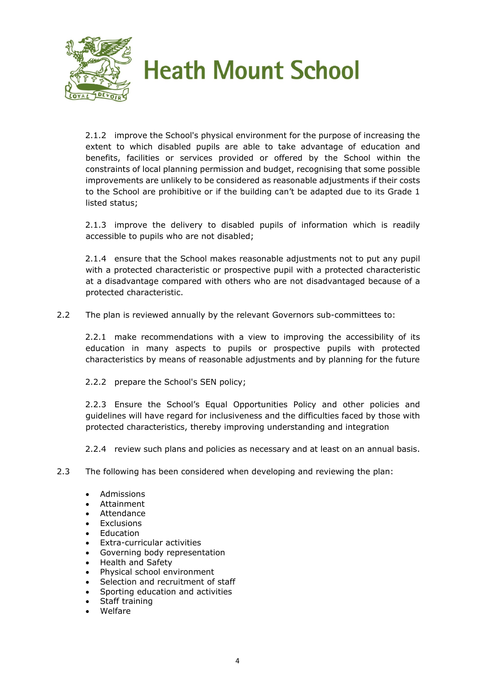

2.1.2 improve the School's physical environment for the purpose of increasing the extent to which disabled pupils are able to take advantage of education and benefits, facilities or services provided or offered by the School within the constraints of local planning permission and budget, recognising that some possible improvements are unlikely to be considered as reasonable adjustments if their costs to the School are prohibitive or if the building can't be adapted due to its Grade 1 listed status;

2.1.3 improve the delivery to disabled pupils of information which is readily accessible to pupils who are not disabled;

2.1.4 ensure that the School makes reasonable adjustments not to put any pupil with a protected characteristic or prospective pupil with a protected characteristic at a disadvantage compared with others who are not disadvantaged because of a protected characteristic.

2.2 The plan is reviewed annually by the relevant Governors sub-committees to:

2.2.1 make recommendations with a view to improving the accessibility of its education in many aspects to pupils or prospective pupils with protected characteristics by means of reasonable adjustments and by planning for the future

2.2.2 prepare the School's SEN policy;

2.2.3 Ensure the School's Equal Opportunities Policy and other policies and guidelines will have regard for inclusiveness and the difficulties faced by those with protected characteristics, thereby improving understanding and integration

2.2.4 review such plans and policies as necessary and at least on an annual basis.

- 2.3 The following has been considered when developing and reviewing the plan:
	- Admissions
	- Attainment
	- **Attendance**
	- Exclusions
	- **Fducation**
	- Extra-curricular activities
	- Governing body representation
	- Health and Safety
	- Physical school environment
	- Selection and recruitment of staff
	- Sporting education and activities
	- Staff training
	- Welfare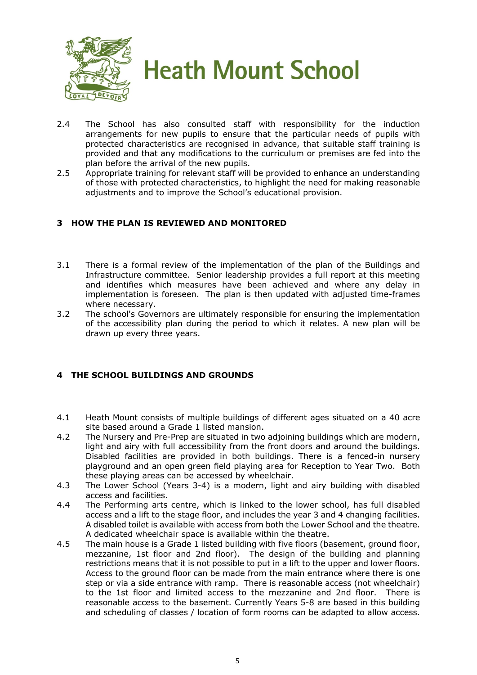

- 2.4 The School has also consulted staff with responsibility for the induction arrangements for new pupils to ensure that the particular needs of pupils with protected characteristics are recognised in advance, that suitable staff training is provided and that any modifications to the curriculum or premises are fed into the plan before the arrival of the new pupils.
- 2.5 Appropriate training for relevant staff will be provided to enhance an understanding of those with protected characteristics, to highlight the need for making reasonable adjustments and to improve the School's educational provision.

#### **3 HOW THE PLAN IS REVIEWED AND MONITORED**

- 3.1 There is a formal review of the implementation of the plan of the Buildings and Infrastructure committee. Senior leadership provides a full report at this meeting and identifies which measures have been achieved and where any delay in implementation is foreseen. The plan is then updated with adjusted time-frames where necessary.
- 3.2 The school's Governors are ultimately responsible for ensuring the implementation of the accessibility plan during the period to which it relates. A new plan will be drawn up every three years.

#### **4 THE SCHOOL BUILDINGS AND GROUNDS**

- 4.1 Heath Mount consists of multiple buildings of different ages situated on a 40 acre site based around a Grade 1 listed mansion.
- 4.2 The Nursery and Pre-Prep are situated in two adjoining buildings which are modern, light and airy with full accessibility from the front doors and around the buildings. Disabled facilities are provided in both buildings. There is a fenced-in nursery playground and an open green field playing area for Reception to Year Two. Both these playing areas can be accessed by wheelchair.
- 4.3 The Lower School (Years 3-4) is a modern, light and airy building with disabled access and facilities.
- 4.4 The Performing arts centre, which is linked to the lower school, has full disabled access and a lift to the stage floor, and includes the year 3 and 4 changing facilities. A disabled toilet is available with access from both the Lower School and the theatre. A dedicated wheelchair space is available within the theatre.
- 4.5 The main house is a Grade 1 listed building with five floors (basement, ground floor, mezzanine, 1st floor and 2nd floor). The design of the building and planning restrictions means that it is not possible to put in a lift to the upper and lower floors. Access to the ground floor can be made from the main entrance where there is one step or via a side entrance with ramp. There is reasonable access (not wheelchair) to the 1st floor and limited access to the mezzanine and 2nd floor. There is reasonable access to the basement. Currently Years 5-8 are based in this building and scheduling of classes / location of form rooms can be adapted to allow access.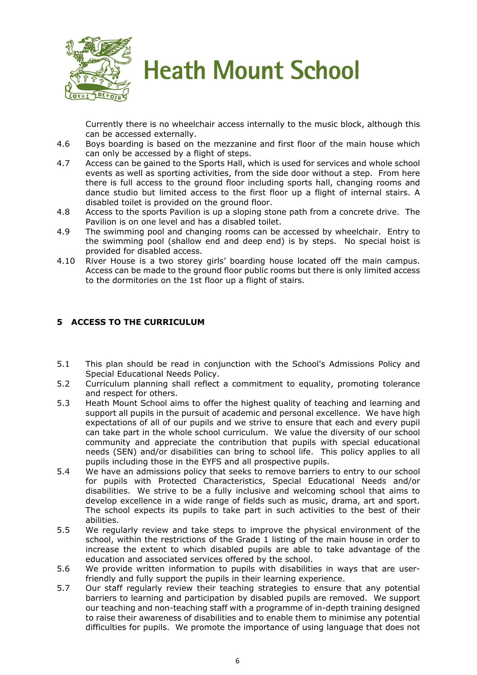

Currently there is no wheelchair access internally to the music block, although this can be accessed externally.

- 4.6 Boys boarding is based on the mezzanine and first floor of the main house which can only be accessed by a flight of steps.
- 4.7 Access can be gained to the Sports Hall, which is used for services and whole school events as well as sporting activities, from the side door without a step. From here there is full access to the ground floor including sports hall, changing rooms and dance studio but limited access to the first floor up a flight of internal stairs. A disabled toilet is provided on the ground floor.
- 4.8 Access to the sports Pavilion is up a sloping stone path from a concrete drive. The Pavilion is on one level and has a disabled toilet.
- 4.9 The swimming pool and changing rooms can be accessed by wheelchair. Entry to the swimming pool (shallow end and deep end) is by steps. No special hoist is provided for disabled access.
- 4.10 River House is a two storey girls' boarding house located off the main campus. Access can be made to the ground floor public rooms but there is only limited access to the dormitories on the 1st floor up a flight of stairs.

#### **5 ACCESS TO THE CURRICULUM**

- 5.1 This plan should be read in conjunction with the School's Admissions Policy and Special Educational Needs Policy.
- 5.2 Curriculum planning shall reflect a commitment to equality, promoting tolerance and respect for others.
- 5.3 Heath Mount School aims to offer the highest quality of teaching and learning and support all pupils in the pursuit of academic and personal excellence. We have high expectations of all of our pupils and we strive to ensure that each and every pupil can take part in the whole school curriculum. We value the diversity of our school community and appreciate the contribution that pupils with special educational needs (SEN) and/or disabilities can bring to school life. This policy applies to all pupils including those in the EYFS and all prospective pupils.
- 5.4 We have an admissions policy that seeks to remove barriers to entry to our school for pupils with Protected Characteristics, Special Educational Needs and/or disabilities. We strive to be a fully inclusive and welcoming school that aims to develop excellence in a wide range of fields such as music, drama, art and sport. The school expects its pupils to take part in such activities to the best of their abilities.
- 5.5 We regularly review and take steps to improve the physical environment of the school, within the restrictions of the Grade 1 listing of the main house in order to increase the extent to which disabled pupils are able to take advantage of the education and associated services offered by the school.
- 5.6 We provide written information to pupils with disabilities in ways that are userfriendly and fully support the pupils in their learning experience.
- 5.7 Our staff regularly review their teaching strategies to ensure that any potential barriers to learning and participation by disabled pupils are removed. We support our teaching and non-teaching staff with a programme of in-depth training designed to raise their awareness of disabilities and to enable them to minimise any potential difficulties for pupils. We promote the importance of using language that does not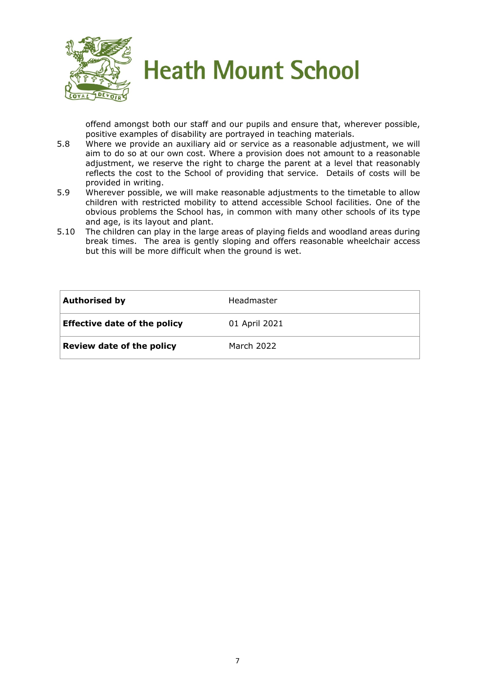

offend amongst both our staff and our pupils and ensure that, wherever possible, positive examples of disability are portrayed in teaching materials.

- 5.8 Where we provide an auxiliary aid or service as a reasonable adjustment, we will aim to do so at our own cost. Where a provision does not amount to a reasonable adjustment, we reserve the right to charge the parent at a level that reasonably reflects the cost to the School of providing that service. Details of costs will be provided in writing.
- 5.9 Wherever possible, we will make reasonable adjustments to the timetable to allow children with restricted mobility to attend accessible School facilities. One of the obvious problems the School has, in common with many other schools of its type and age, is its layout and plant.
- 5.10 The children can play in the large areas of playing fields and woodland areas during break times. The area is gently sloping and offers reasonable wheelchair access but this will be more difficult when the ground is wet.

| <b>Authorised by</b>                | Headmaster    |
|-------------------------------------|---------------|
| <b>Effective date of the policy</b> | 01 April 2021 |
| Review date of the policy           | March 2022    |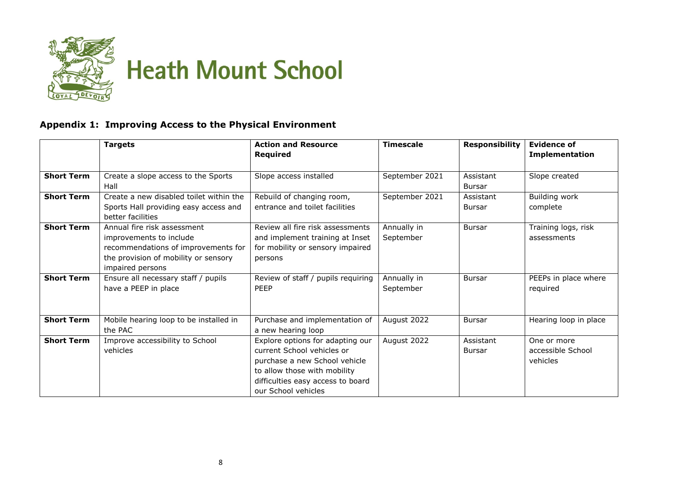

#### **Appendix 1: Improving Access to the Physical Environment**

|                   | <b>Targets</b>                                                                                                                                            | <b>Action and Resource</b>                                                                                                                                                                  | <b>Timescale</b>         | <b>Responsibility</b>      | <b>Evidence of</b>                           |
|-------------------|-----------------------------------------------------------------------------------------------------------------------------------------------------------|---------------------------------------------------------------------------------------------------------------------------------------------------------------------------------------------|--------------------------|----------------------------|----------------------------------------------|
|                   |                                                                                                                                                           | Required                                                                                                                                                                                    |                          |                            | <b>Implementation</b>                        |
| <b>Short Term</b> | Create a slope access to the Sports<br>Hall                                                                                                               | Slope access installed                                                                                                                                                                      | September 2021           | Assistant<br>Bursar        | Slope created                                |
| <b>Short Term</b> | Create a new disabled toilet within the<br>Sports Hall providing easy access and<br>better facilities                                                     | Rebuild of changing room,<br>entrance and toilet facilities                                                                                                                                 | September 2021           | Assistant<br>Bursar        | Building work<br>complete                    |
| <b>Short Term</b> | Annual fire risk assessment<br>improvements to include<br>recommendations of improvements for<br>the provision of mobility or sensory<br>impaired persons | Review all fire risk assessments<br>and implement training at Inset<br>for mobility or sensory impaired<br>persons                                                                          | Annually in<br>September | <b>Bursar</b>              | Training logs, risk<br>assessments           |
| <b>Short Term</b> | Ensure all necessary staff / pupils<br>have a PEEP in place                                                                                               | Review of staff / pupils requiring<br>PEEP                                                                                                                                                  | Annually in<br>September | <b>Bursar</b>              | PEEPs in place where<br>required             |
| <b>Short Term</b> | Mobile hearing loop to be installed in<br>the PAC                                                                                                         | Purchase and implementation of<br>a new hearing loop                                                                                                                                        | August 2022              | Bursar                     | Hearing loop in place                        |
| <b>Short Term</b> | Improve accessibility to School<br>vehicles                                                                                                               | Explore options for adapting our<br>current School vehicles or<br>purchase a new School vehicle<br>to allow those with mobility<br>difficulties easy access to board<br>our School vehicles | August 2022              | Assistant<br><b>Bursar</b> | One or more<br>accessible School<br>vehicles |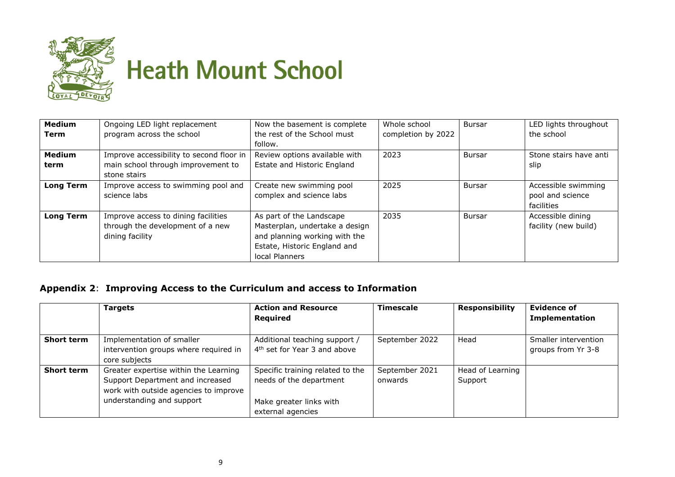

| <b>Medium</b>    | Ongoing LED light replacement            | Now the basement is complete   | Whole school       | <b>Bursar</b> | LED lights throughout  |
|------------------|------------------------------------------|--------------------------------|--------------------|---------------|------------------------|
| Term             | program across the school                | the rest of the School must    | completion by 2022 |               | the school             |
|                  |                                          | follow.                        |                    |               |                        |
| <b>Medium</b>    | Improve accessibility to second floor in | Review options available with  | 2023               | <b>Bursar</b> | Stone stairs have anti |
| term             | main school through improvement to       | Estate and Historic England    |                    |               | slip                   |
|                  | stone stairs                             |                                |                    |               |                        |
| <b>Long Term</b> | Improve access to swimming pool and      | Create new swimming pool       | 2025               | Bursar        | Accessible swimming    |
|                  | science labs                             | complex and science labs       |                    |               | pool and science       |
|                  |                                          |                                |                    |               | facilities             |
| <b>Long Term</b> | Improve access to dining facilities      | As part of the Landscape       | 2035               | <b>Bursar</b> | Accessible dining      |
|                  | through the development of a new         | Masterplan, undertake a design |                    |               | facility (new build)   |
|                  | dining facility                          | and planning working with the  |                    |               |                        |
|                  |                                          | Estate, Historic England and   |                    |               |                        |
|                  |                                          | local Planners                 |                    |               |                        |

#### **Appendix 2**: **Improving Access to the Curriculum and access to Information**

|                   | <b>Targets</b>                        | <b>Action and Resource</b>               | <b>Timescale</b> | <b>Responsibility</b> | <b>Evidence of</b>    |
|-------------------|---------------------------------------|------------------------------------------|------------------|-----------------------|-----------------------|
|                   |                                       | Required                                 |                  |                       | <b>Implementation</b> |
|                   |                                       |                                          |                  |                       |                       |
| <b>Short term</b> | Implementation of smaller             | Additional teaching support /            | September 2022   | Head                  | Smaller intervention  |
|                   | intervention groups where required in | 4 <sup>th</sup> set for Year 3 and above |                  |                       | groups from Yr 3-8    |
|                   | core subjects                         |                                          |                  |                       |                       |
| <b>Short term</b> | Greater expertise within the Learning | Specific training related to the         | September 2021   | Head of Learning      |                       |
|                   | Support Department and increased      | needs of the department                  | onwards          | Support               |                       |
|                   | work with outside agencies to improve |                                          |                  |                       |                       |
|                   | understanding and support             | Make greater links with                  |                  |                       |                       |
|                   |                                       | external agencies                        |                  |                       |                       |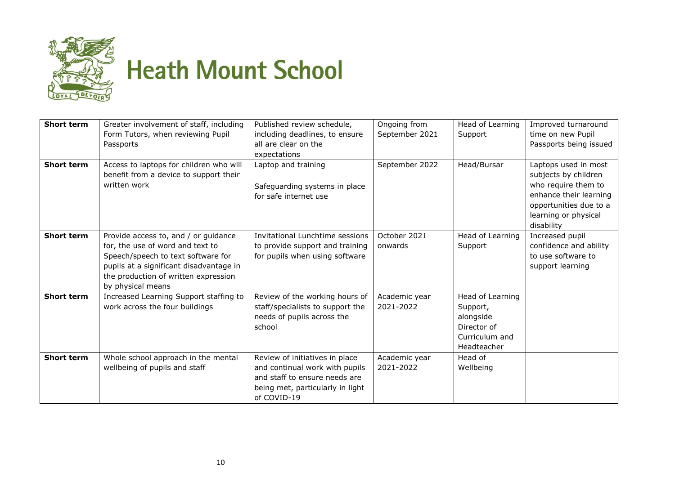

| <b>Short term</b> | Greater involvement of staff, including | Published review schedule,       | Ongoing from   | Head of Learning | Improved turnaround    |
|-------------------|-----------------------------------------|----------------------------------|----------------|------------------|------------------------|
|                   | Form Tutors, when reviewing Pupil       | including deadlines, to ensure   | September 2021 | Support          | time on new Pupil      |
|                   | Passports                               | all are clear on the             |                |                  | Passports being issued |
|                   |                                         | expectations                     |                |                  |                        |
| <b>Short term</b> | Access to laptops for children who will | Laptop and training              | September 2022 | Head/Bursar      | Laptops used in most   |
|                   | benefit from a device to support their  |                                  |                |                  | subjects by children   |
|                   | written work                            | Safeguarding systems in place    |                |                  | who require them to    |
|                   |                                         | for safe internet use            |                |                  | enhance their learning |
|                   |                                         |                                  |                |                  | opportunities due to a |
|                   |                                         |                                  |                |                  | learning or physical   |
|                   |                                         |                                  |                |                  | disability             |
| <b>Short term</b> | Provide access to, and / or guidance    | Invitational Lunchtime sessions  | October 2021   | Head of Learning | Increased pupil        |
|                   | for, the use of word and text to        | to provide support and training  | onwards        | Support          | confidence and ability |
|                   | Speech/speech to text software for      | for pupils when using software   |                |                  | to use software to     |
|                   | pupils at a significant disadvantage in |                                  |                |                  | support learning       |
|                   | the production of written expression    |                                  |                |                  |                        |
|                   | by physical means                       |                                  |                |                  |                        |
| <b>Short term</b> | Increased Learning Support staffing to  | Review of the working hours of   | Academic year  | Head of Learning |                        |
|                   | work across the four buildings          | staff/specialists to support the | 2021-2022      | Support,         |                        |
|                   |                                         | needs of pupils across the       |                | alongside        |                        |
|                   |                                         | school                           |                | Director of      |                        |
|                   |                                         |                                  |                | Curriculum and   |                        |
|                   |                                         |                                  |                | Headteacher      |                        |
| <b>Short term</b> | Whole school approach in the mental     | Review of initiatives in place   | Academic year  | Head of          |                        |
|                   | wellbeing of pupils and staff           | and continual work with pupils   | 2021-2022      | Wellbeing        |                        |
|                   |                                         | and staff to ensure needs are    |                |                  |                        |
|                   |                                         | being met, particularly in light |                |                  |                        |
|                   |                                         | of COVID-19                      |                |                  |                        |